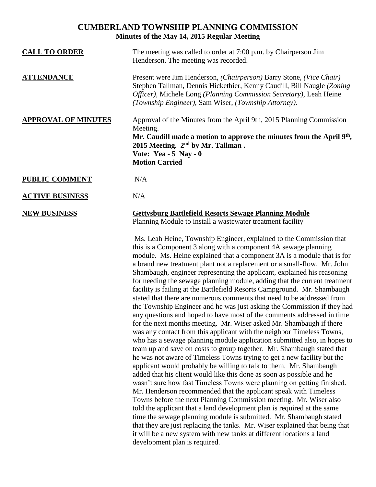# **CUMBERLAND TOWNSHIP PLANNING COMMISSION Minutes of the May 14, 2015 Regular Meeting**

| <b>CALL TO ORDER</b>       | The meeting was called to order at 7:00 p.m. by Chairperson Jim<br>Henderson. The meeting was recorded.                                                                                                                                                                      |
|----------------------------|------------------------------------------------------------------------------------------------------------------------------------------------------------------------------------------------------------------------------------------------------------------------------|
| <b>ATTENDANCE</b>          | Present were Jim Henderson, (Chairperson) Barry Stone, (Vice Chair)<br>Stephen Tallman, Dennis Hickethier, Kenny Caudill, Bill Naugle (Zoning)<br>Officer), Michele Long (Planning Commission Secretary), Leah Heine<br>(Township Engineer), Sam Wiser, (Township Attorney). |
| <b>APPROVAL OF MINUTES</b> | Approval of the Minutes from the April 9th, 2015 Planning Commission<br>Meeting.<br>Mr. Caudill made a motion to approve the minutes from the April $9th$ ,<br>2015 Meeting. $2nd$ by Mr. Tallman.<br>Vote: Yea - $5$ Nay - 0<br><b>Motion Carried</b>                       |
| <b>PUBLIC COMMENT</b>      | N/A                                                                                                                                                                                                                                                                          |
| <b>ACTIVE BUSINESS</b>     | N/A                                                                                                                                                                                                                                                                          |
| <b>NEW BUSINESS</b>        | <b>Gettysburg Battlefield Resorts Sewage Planning Module</b><br>Planning Module to install a wastewater treatment facility                                                                                                                                                   |

Ms. Leah Heine, Township Engineer, explained to the Commission that this is a Component 3 along with a component 4A sewage planning module. Ms. Heine explained that a component 3A is a module that is for a brand new treatment plant not a replacement or a small-flow. Mr. John Shambaugh, engineer representing the applicant, explained his reasoning for needing the sewage planning module, adding that the current treatment facility is failing at the Battlefield Resorts Campground. Mr. Shambaugh stated that there are numerous comments that need to be addressed from the Township Engineer and he was just asking the Commission if they had any questions and hoped to have most of the comments addressed in time for the next months meeting. Mr. Wiser asked Mr. Shambaugh if there was any contact from this applicant with the neighbor Timeless Towns, who has a sewage planning module application submitted also, in hopes to team up and save on costs to group together. Mr. Shambaugh stated that he was not aware of Timeless Towns trying to get a new facility but the applicant would probably be willing to talk to them. Mr. Shambaugh added that his client would like this done as soon as possible and he wasn't sure how fast Timeless Towns were planning on getting finished. Mr. Henderson recommended that the applicant speak with Timeless Towns before the next Planning Commission meeting. Mr. Wiser also told the applicant that a land development plan is required at the same time the sewage planning module is submitted. Mr. Shambaugh stated that they are just replacing the tanks. Mr. Wiser explained that being that it will be a new system with new tanks at different locations a land development plan is required.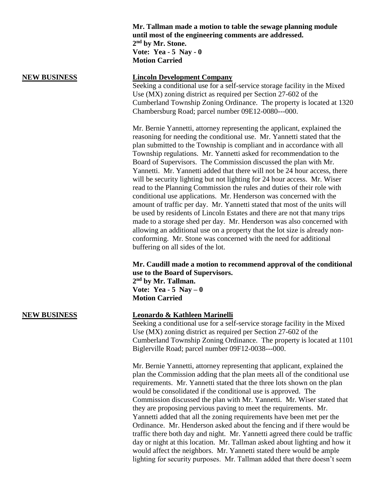**Mr. Tallman made a motion to table the sewage planning module until most of the engineering comments are addressed. 2 nd by Mr. Stone. Vote: Yea - 5 Nay - 0 Motion Carried**

### **NEW BUSINESS Lincoln Development Company**

Seeking a conditional use for a self-service storage facility in the Mixed Use (MX) zoning district as required per Section 27-602 of the Cumberland Township Zoning Ordinance. The property is located at 1320 Chambersburg Road; parcel number 09E12-0080---000.

Mr. Bernie Yannetti, attorney representing the applicant, explained the reasoning for needing the conditional use. Mr. Yannetti stated that the plan submitted to the Township is compliant and in accordance with all Township regulations. Mr. Yannetti asked for recommendation to the Board of Supervisors. The Commission discussed the plan with Mr. Yannetti. Mr. Yannetti added that there will not be 24 hour access, there will be security lighting but not lighting for 24 hour access. Mr. Wiser read to the Planning Commission the rules and duties of their role with conditional use applications. Mr. Henderson was concerned with the amount of traffic per day. Mr. Yannetti stated that most of the units will be used by residents of Lincoln Estates and there are not that many trips made to a storage shed per day. Mr. Henderson was also concerned with allowing an additional use on a property that the lot size is already nonconforming. Mr. Stone was concerned with the need for additional buffering on all sides of the lot.

## **Mr. Caudill made a motion to recommend approval of the conditional use to the Board of Supervisors. 2 nd by Mr. Tallman. Vote: Yea - 5 Nay – 0**

**Motion Carried**

## **NEW BUSINESS Leonardo & Kathleen Marinelli**

Seeking a conditional use for a self-service storage facility in the Mixed Use (MX) zoning district as required per Section 27-602 of the Cumberland Township Zoning Ordinance. The property is located at 1101 Biglerville Road; parcel number 09F12-0038---000.

Mr. Bernie Yannetti, attorney representing that applicant, explained the plan the Commission adding that the plan meets all of the conditional use requirements. Mr. Yannetti stated that the three lots shown on the plan would be consolidated if the conditional use is approved. The Commission discussed the plan with Mr. Yannetti. Mr. Wiser stated that they are proposing pervious paving to meet the requirements. Mr. Yannetti added that all the zoning requirements have been met per the Ordinance. Mr. Henderson asked about the fencing and if there would be traffic there both day and night. Mr. Yannetti agreed there could be traffic day or night at this location. Mr. Tallman asked about lighting and how it would affect the neighbors. Mr. Yannetti stated there would be ample lighting for security purposes. Mr. Tallman added that there doesn't seem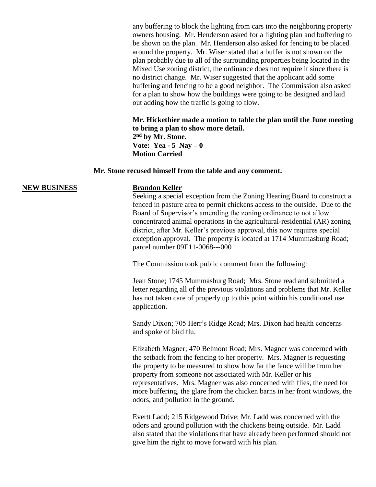any buffering to block the lighting from cars into the neighboring property owners housing. Mr. Henderson asked for a lighting plan and buffering to be shown on the plan. Mr. Henderson also asked for fencing to be placed around the property. Mr. Wiser stated that a buffer is not shown on the plan probably due to all of the surrounding properties being located in the Mixed Use zoning district, the ordinance does not require it since there is no district change. Mr. Wiser suggested that the applicant add some buffering and fencing to be a good neighbor. The Commission also asked for a plan to show how the buildings were going to be designed and laid out adding how the traffic is going to flow.

**Mr. Hickethier made a motion to table the plan until the June meeting to bring a plan to show more detail. 2 nd by Mr. Stone.**

**Vote: Yea - 5 Nay – 0 Motion Carried**

### **Mr. Stone recused himself from the table and any comment.**

### **NEW BUSINESS Brandon Keller**

Seeking a special exception from the Zoning Hearing Board to construct a fenced in pasture area to permit chickens access to the outside. Due to the Board of Supervisor's amending the zoning ordinance to not allow concentrated animal operations in the agricultural-residential (AR) zoning district, after Mr. Keller's previous approval, this now requires special exception approval. The property is located at 1714 Mummasburg Road; parcel number 09E11-0068---000

The Commission took public comment from the following:

Jean Stone; 1745 Mummasburg Road; Mrs. Stone read and submitted a letter regarding all of the previous violations and problems that Mr. Keller has not taken care of properly up to this point within his conditional use application.

Sandy Dixon; 705 Herr's Ridge Road; Mrs. Dixon had health concerns and spoke of bird flu.

Elizabeth Magner; 470 Belmont Road; Mrs. Magner was concerned with the setback from the fencing to her property. Mrs. Magner is requesting the property to be measured to show how far the fence will be from her property from someone not associated with Mr. Keller or his representatives. Mrs. Magner was also concerned with flies, the need for more buffering, the glare from the chicken barns in her front windows, the odors, and pollution in the ground.

Evertt Ladd; 215 Ridgewood Drive; Mr. Ladd was concerned with the odors and ground pollution with the chickens being outside. Mr. Ladd also stated that the violations that have already been performed should not give him the right to move forward with his plan.